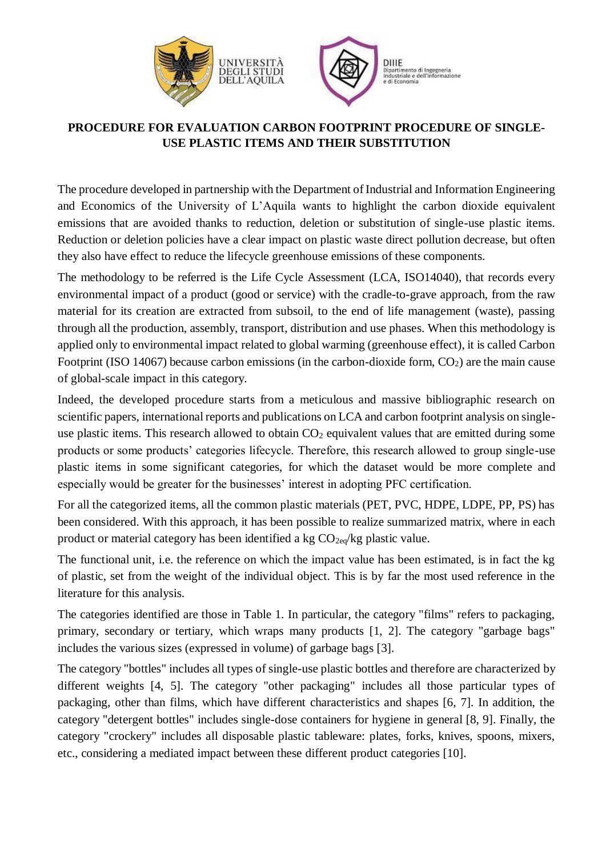

## **PROCEDURE FOR EVALUATION CARBON FOOTPRINT PROCEDURE OF SINGLE-USE PLASTIC ITEMS AND THEIR SUBSTITUTION**

The procedure developed in partnership with the Department of Industrial and Information Engineering and Economics of the University of L'Aquila wants to highlight the carbon dioxide equivalent emissions that are avoided thanks to reduction, deletion or substitution of single-use plastic items. Reduction or deletion policies have a clear impact on plastic waste direct pollution decrease, but often they also have effect to reduce the lifecycle greenhouse emissions of these components.

The methodology to be referred is the Life Cycle Assessment (LCA, ISO14040), that records every environmental impact of a product (good or service) with the cradle-to-grave approach, from the raw material for its creation are extracted from subsoil, to the end of life management (waste), passing through all the production, assembly, transport, distribution and use phases. When this methodology is applied only to environmental impact related to global warming (greenhouse effect), it is called Carbon Footprint (ISO 14067) because carbon emissions (in the carbon-dioxide form,  $CO<sub>2</sub>$ ) are the main cause of global-scale impact in this category.

Indeed, the developed procedure starts from a meticulous and massive bibliographic research on scientific papers, international reports and publications on LCA and carbon footprint analysis on singleuse plastic items. This research allowed to obtain  $CO<sub>2</sub>$  equivalent values that are emitted during some products or some products' categories lifecycle. Therefore, this research allowed to group single-use plastic items in some significant categories, for which the dataset would be more complete and especially would be greater for the businesses' interest in adopting PFC certification.

For all the categorized items, all the common plastic materials (PET, PVC, HDPE, LDPE, PP, PS) has been considered. With this approach, it has been possible to realize summarized matrix, where in each product or material category has been identified a kg  $CO<sub>2eq</sub>/kg$  plastic value.

The functional unit, i.e. the reference on which the impact value has been estimated, is in fact the kg of plastic, set from the weight of the individual object. This is by far the most used reference in the literature for this analysis.

The categories identified are those in Table 1. In particular, the category "films" refers to packaging, primary, secondary or tertiary, which wraps many products [1, 2]. The category "garbage bags" includes the various sizes (expressed in volume) of garbage bags [3].

The category "bottles" includes all types of single-use plastic bottles and therefore are characterized by different weights [4, 5]. The category "other packaging" includes all those particular types of packaging, other than films, which have different characteristics and shapes [6, 7]. In addition, the category "detergent bottles" includes single-dose containers for hygiene in general [8, 9]. Finally, the category "crockery" includes all disposable plastic tableware: plates, forks, knives, spoons, mixers, etc., considering a mediated impact between these different product categories [10].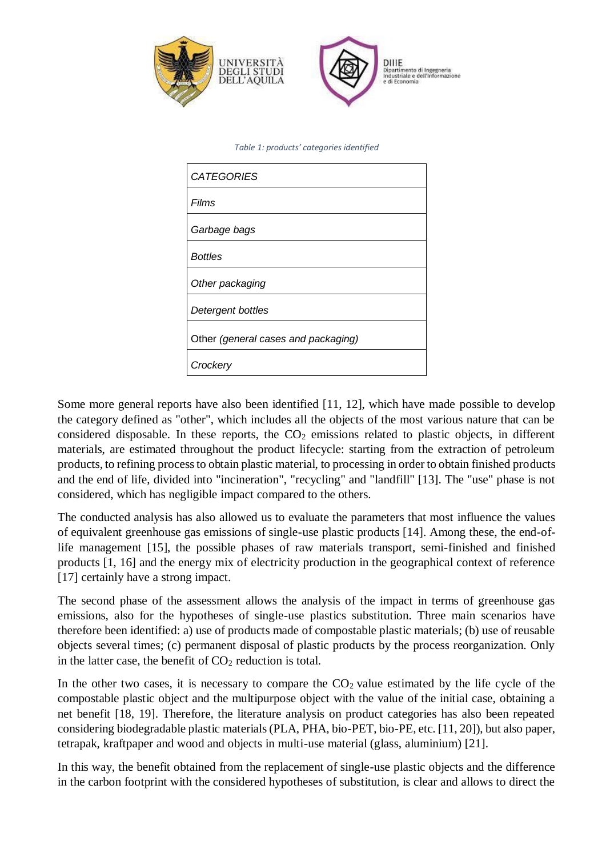

*Table 1: products' categories identified*

| <b>CATEGORIES</b>                   |
|-------------------------------------|
| Films                               |
| Garbage bags                        |
| <b>Bottles</b>                      |
| Other packaging                     |
| Detergent bottles                   |
| Other (general cases and packaging) |
| Crockery                            |

Some more general reports have also been identified [11, 12], which have made possible to develop the category defined as "other", which includes all the objects of the most various nature that can be considered disposable. In these reports, the  $CO<sub>2</sub>$  emissions related to plastic objects, in different materials, are estimated throughout the product lifecycle: starting from the extraction of petroleum products, to refining process to obtain plastic material, to processing in order to obtain finished products and the end of life, divided into "incineration", "recycling" and "landfill" [13]. The "use" phase is not considered, which has negligible impact compared to the others.

The conducted analysis has also allowed us to evaluate the parameters that most influence the values of equivalent greenhouse gas emissions of single-use plastic products [14]. Among these, the end-oflife management [15], the possible phases of raw materials transport, semi-finished and finished products [1, 16] and the energy mix of electricity production in the geographical context of reference [17] certainly have a strong impact.

The second phase of the assessment allows the analysis of the impact in terms of greenhouse gas emissions, also for the hypotheses of single-use plastics substitution. Three main scenarios have therefore been identified: a) use of products made of compostable plastic materials; (b) use of reusable objects several times; (c) permanent disposal of plastic products by the process reorganization. Only in the latter case, the benefit of  $CO<sub>2</sub>$  reduction is total.

In the other two cases, it is necessary to compare the  $CO<sub>2</sub>$  value estimated by the life cycle of the compostable plastic object and the multipurpose object with the value of the initial case, obtaining a net benefit [18, 19]. Therefore, the literature analysis on product categories has also been repeated considering biodegradable plastic materials (PLA, PHA, bio-PET, bio-PE, etc. [11, 20]), but also paper, tetrapak, kraftpaper and wood and objects in multi-use material (glass, aluminium) [21].

In this way, the benefit obtained from the replacement of single-use plastic objects and the difference in the carbon footprint with the considered hypotheses of substitution, is clear and allows to direct the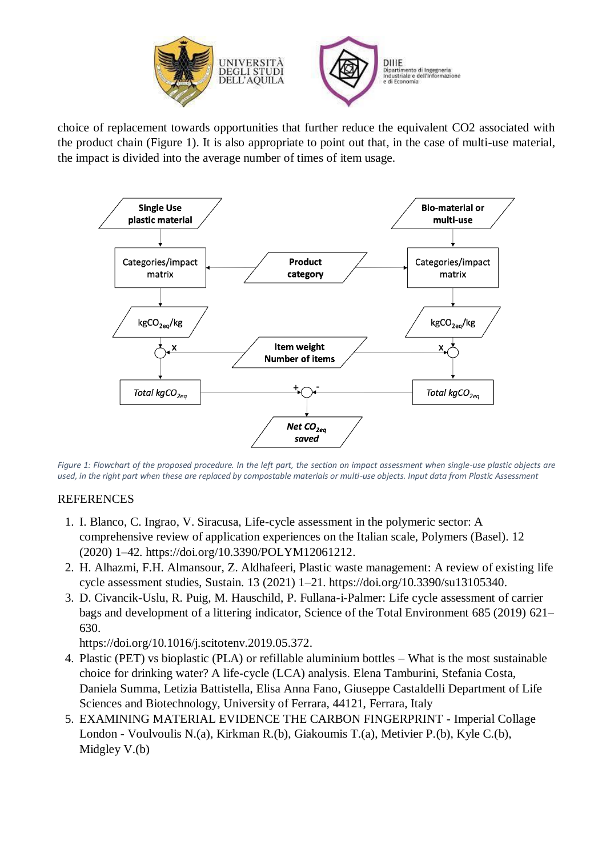

choice of replacement towards opportunities that further reduce the equivalent CO2 associated with the product chain (Figure 1). It is also appropriate to point out that, in the case of multi-use material, the impact is divided into the average number of times of item usage.



*Figure 1: Flowchart of the proposed procedure. In the left part, the section on impact assessment when single-use plastic objects are used, in the right part when these are replaced by compostable materials or multi-use objects. Input data from Plastic Assessment*

## **REFERENCES**

- 1. I. Blanco, C. Ingrao, V. Siracusa, Life-cycle assessment in the polymeric sector: A comprehensive review of application experiences on the Italian scale, Polymers (Basel). 12 (2020) 1–42. [https://doi.org/10.3390/POLYM12061212.](https://doi.org/10.3390/POLYM12061212)
- 2. H. Alhazmi, F.H. Almansour, Z. Aldhafeeri, Plastic waste management: A review of existing life cycle assessment studies, Sustain. 13 (2021) 1–21. [https://doi.org/10.3390/su13105340.](https://doi.org/10.3390/su13105340)
- 3. D. Civancik-Uslu, R. Puig, M. Hauschild, P. Fullana-i-Palmer: Life cycle assessment of carrier bags and development of a littering indicator, Science of the Total Environment 685 (2019) 621– 630.

[https://doi.org/10.1016/j.scitotenv.2019.05.372.](https://doi.org/10.1016/j.scitotenv.2019.05.372)

- 4. Plastic (PET) vs bioplastic (PLA) or refillable aluminium bottles What is the most sustainable choice for drinking water? A life-cycle (LCA) analysis. Elena Tamburini, Stefania Costa, Daniela Summa, Letizia Battistella, Elisa Anna Fano, Giuseppe Castaldelli Department of Life Sciences and Biotechnology, University of Ferrara, 44121, Ferrara, Italy
- 5. EXAMINING MATERIAL EVIDENCE THE CARBON FINGERPRINT Imperial Collage London - Voulvoulis N.(a), Kirkman R.(b), Giakoumis T.(a), Metivier P.(b), Kyle C.(b), Midgley V.(b)